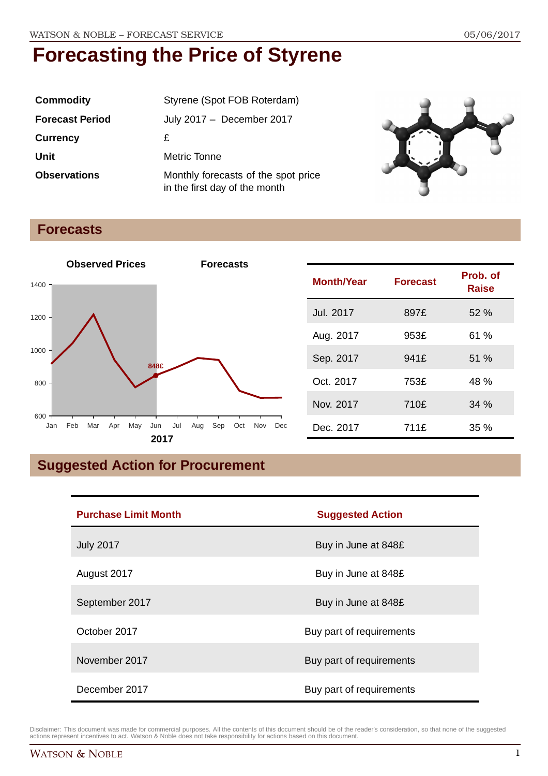| <b>Commodity</b>       | Styrene (Spot FOB Roterdam)                                          |  |
|------------------------|----------------------------------------------------------------------|--|
| <b>Forecast Period</b> | July 2017 - December 2017                                            |  |
| <b>Currency</b>        | £                                                                    |  |
| Unit                   | Metric Tonne                                                         |  |
| <b>Observations</b>    | Monthly forecasts of the spot price<br>in the first day of the month |  |



### **Forecasts**



| <b>Month/Year</b> | <b>Forecast</b> | Prob. of<br><b>Raise</b> |
|-------------------|-----------------|--------------------------|
| Jul. 2017         | 897£            | 52%                      |
| Aug. 2017         | 953£            | 61%                      |
| Sep. 2017         | 941£            | 51%                      |
| Oct. 2017         | 753£            | 48 %                     |
| Nov. 2017         | 710£            | 34%                      |
| Dec. 2017         | 711£            | $35\%$                   |

## **Suggested Action for Procurement**

| <b>Purchase Limit Month</b> | <b>Suggested Action</b>  |
|-----------------------------|--------------------------|
| <b>July 2017</b>            | Buy in June at 848£      |
| August 2017                 | Buy in June at 848£      |
| September 2017              | Buy in June at 848£      |
| October 2017                | Buy part of requirements |
| November 2017               | Buy part of requirements |
| December 2017               | Buy part of requirements |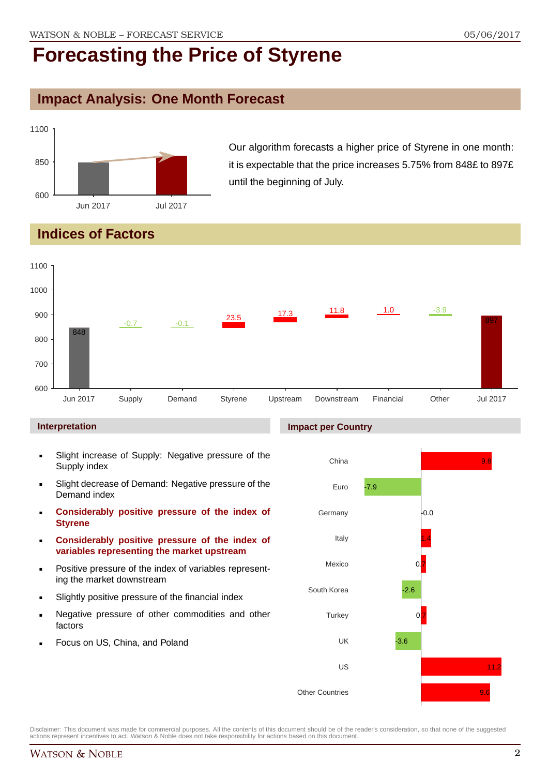### **Impact Analysis: One Month Forecast**



Our algorithm forecasts a higher price of Styrene in one month: it is expectable that the price increases 5.75% from 848£ to 897£ until the beginning of July.

### **Indices of Factors**



#### **Interpretation**

- Slight increase of Supply: Negative pressure of the Supply index
- Slight decrease of Demand: Negative pressure of the Demand index
- **Considerably positive pressure of the index of Styrene**
- **Considerably positive pressure of the index of variables representing the market upstream**
- Positive pressure of the index of variables representing the market downstream
- Slightly positive pressure of the financial index
- Negative pressure of other commodities and other factors
- Focus on US, China, and Poland

#### **Impact per Country**

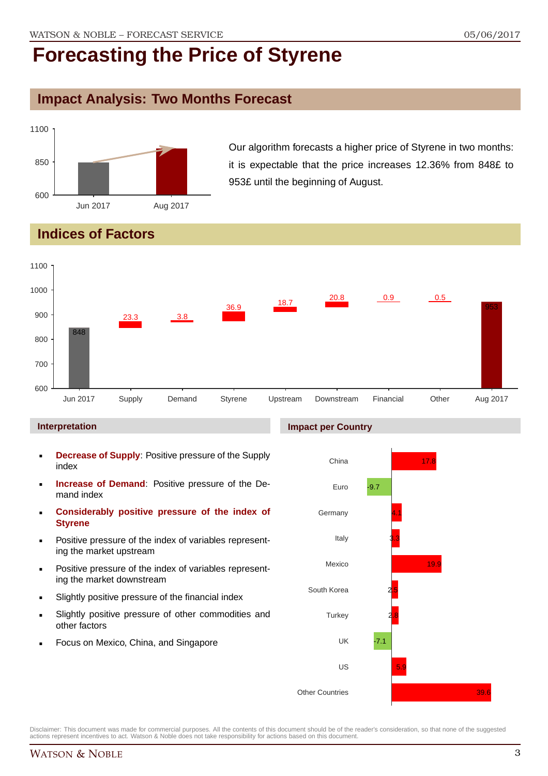## **Impact Analysis: Two Months Forecast**



Our algorithm forecasts a higher price of Styrene in two months: it is expectable that the price increases 12.36% from 848£ to 953£ until the beginning of August.

## **Indices of Factors**



#### **Interpretation**

- **Decrease of Supply**: Positive pressure of the Supply index
- **Increase of Demand**: Positive pressure of the Demand index
- **Considerably positive pressure of the index of Styrene**
- Positive pressure of the index of variables representing the market upstream
- Positive pressure of the index of variables representing the market downstream
- Slightly positive pressure of the financial index
- Slightly positive pressure of other commodities and other factors
- Focus on Mexico, China, and Singapore

#### **Impact per Country**

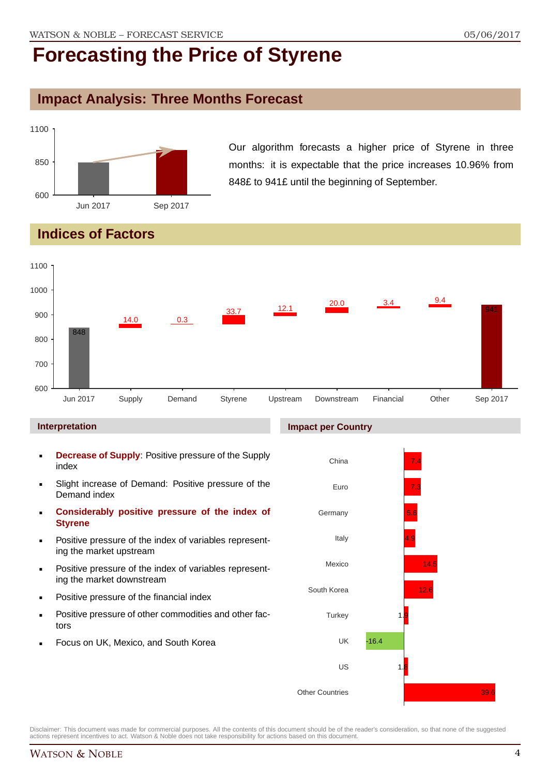### **Impact Analysis: Three Months Forecast**



Our algorithm forecasts a higher price of Styrene in three months: it is expectable that the price increases 10.96% from 848£ to 941£ until the beginning of September.

## **Indices of Factors**



#### **Interpretation**

- **Decrease of Supply**: Positive pressure of the Supply index
- Slight increase of Demand: Positive pressure of the Demand index
- **Considerably positive pressure of the index of Styrene**
- Positive pressure of the index of variables representing the market upstream
- Positive pressure of the index of variables representing the market downstream
- Positive pressure of the financial index
- Positive pressure of other commodities and other factors
- Focus on UK, Mexico, and South Korea

#### **Impact per Country**

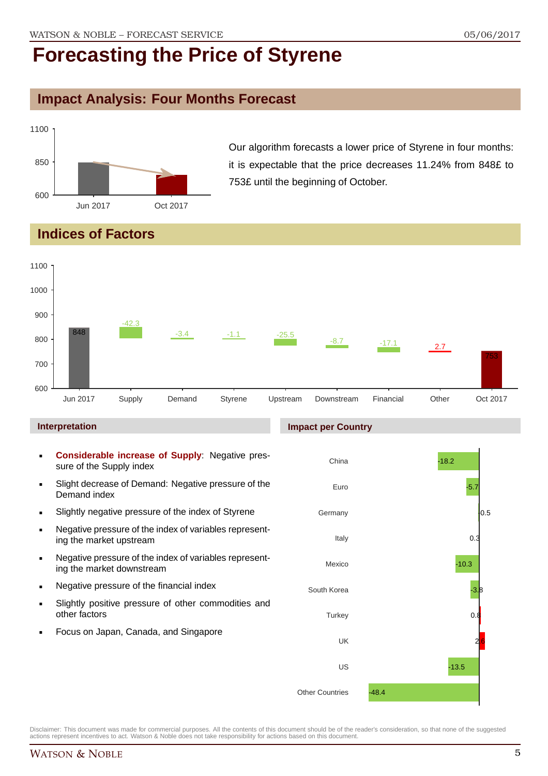## **Impact Analysis: Four Months Forecast**



Our algorithm forecasts a lower price of Styrene in four months: it is expectable that the price decreases 11.24% from 848£ to 753£ until the beginning of October.

### **Indices of Factors**



- sure of the Supply index Slight decrease of Demand: Negative pressure of the Demand index
- **Slightly negative pressure of the index of Styrene**
- Negative pressure of the index of variables representing the market upstream
- Negative pressure of the index of variables representing the market downstream
- **Negative pressure of the financial index**
- Slightly positive pressure of other commodities and other factors
- Focus on Japan, Canada, and Singapore

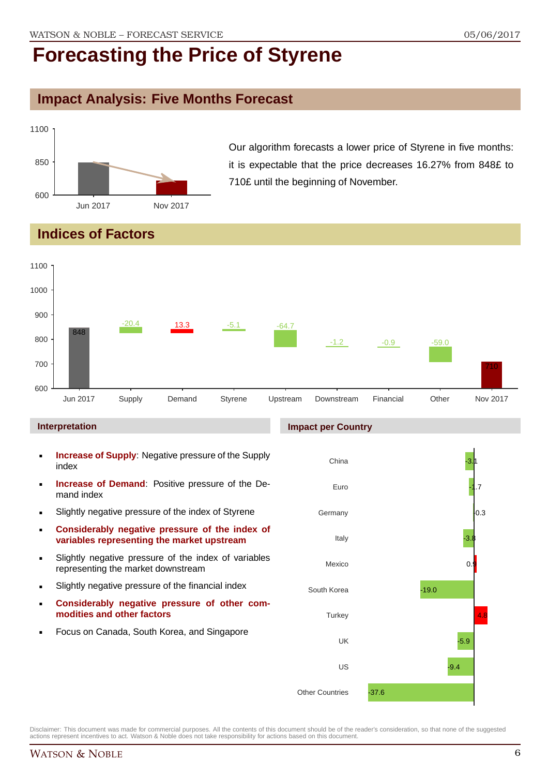### **Impact Analysis: Five Months Forecast**



Our algorithm forecasts a lower price of Styrene in five months: it is expectable that the price decreases 16.27% from 848£ to 710£ until the beginning of November.

### **Indices of Factors**



#### **Interpretation**

- **Increase of Supply**: Negative pressure of the Supply index
- **Increase of Demand**: Positive pressure of the Demand index
- **Slightly negative pressure of the index of Styrene**
- **Considerably negative pressure of the index of variables representing the market upstream**
- Slightly negative pressure of the index of variables representing the market downstream
- Slightly negative pressure of the financial index
- **Considerably negative pressure of other commodities and other factors**
- Focus on Canada, South Korea, and Singapore

### **Impact per Country**

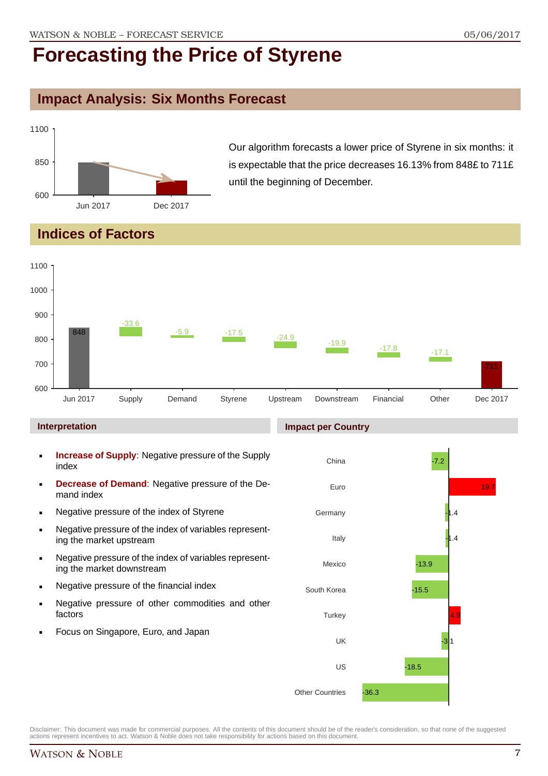### **Impact Analysis: Six Months Forecast**



Our algorithm forecasts a lower price of Styrene in six months: it is expectable that the price decreases 16.13% from 848£ to 711£ until the beginning of December.

### **Indices of Factors**



#### **Interpretation**

- **Increase of Supply**: Negative pressure of the Supply index
- **Decrease of Demand**: Negative pressure of the Demand index
- **Negative pressure of the index of Styrene**
- Negative pressure of the index of variables representing the market upstream
- Negative pressure of the index of variables representing the market downstream
- **Negative pressure of the financial index**
- **Negative pressure of other commodities and other** factors
- Focus on Singapore, Euro, and Japan

### **Impact per Country**

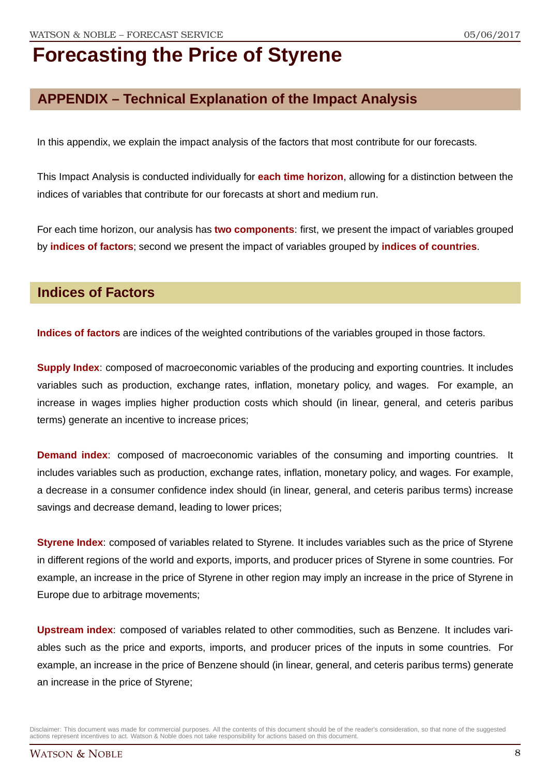## **APPENDIX – Technical Explanation of the Impact Analysis**

In this appendix, we explain the impact analysis of the factors that most contribute for our forecasts.

This Impact Analysis is conducted individually for **each time horizon**, allowing for a distinction between the indices of variables that contribute for our forecasts at short and medium run.

For each time horizon, our analysis has **two components**: first, we present the impact of variables grouped by **indices of factors**; second we present the impact of variables grouped by **indices of countries**.

### **Indices of Factors**

**Indices of factors** are indices of the weighted contributions of the variables grouped in those factors.

**Supply Index**: composed of macroeconomic variables of the producing and exporting countries. It includes variables such as production, exchange rates, inflation, monetary policy, and wages. For example, an increase in wages implies higher production costs which should (in linear, general, and ceteris paribus terms) generate an incentive to increase prices;

**Demand index**: composed of macroeconomic variables of the consuming and importing countries. It includes variables such as production, exchange rates, inflation, monetary policy, and wages. For example, a decrease in a consumer confidence index should (in linear, general, and ceteris paribus terms) increase savings and decrease demand, leading to lower prices;

**Styrene Index**: composed of variables related to Styrene. It includes variables such as the price of Styrene in different regions of the world and exports, imports, and producer prices of Styrene in some countries. For example, an increase in the price of Styrene in other region may imply an increase in the price of Styrene in Europe due to arbitrage movements;

**Upstream index**: composed of variables related to other commodities, such as Benzene. It includes variables such as the price and exports, imports, and producer prices of the inputs in some countries. For example, an increase in the price of Benzene should (in linear, general, and ceteris paribus terms) generate an increase in the price of Styrene;